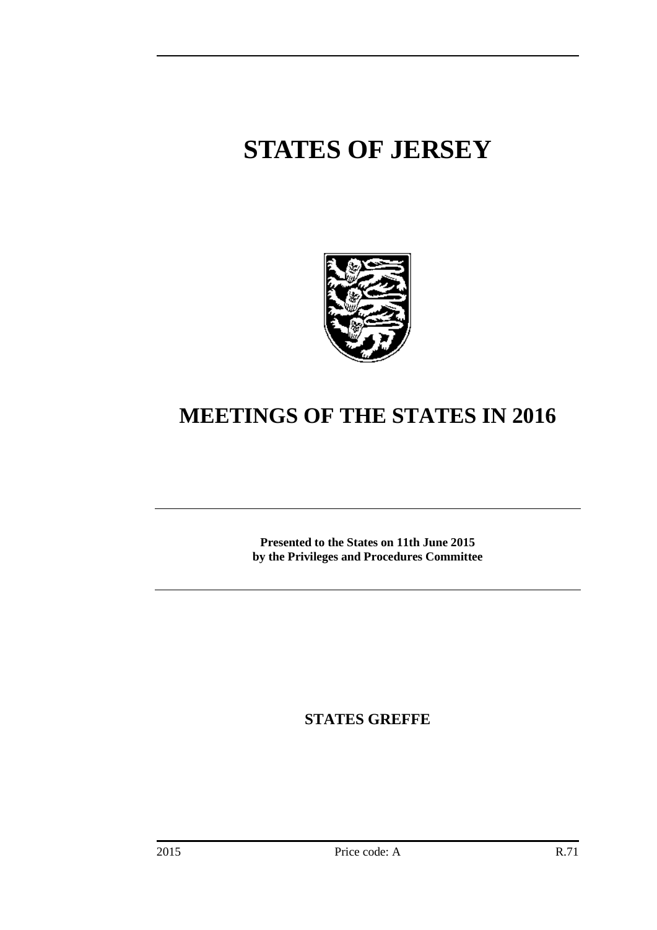# **STATES OF JERSEY**



## **MEETINGS OF THE STATES IN 2016**

**Presented to the States on 11th June 2015 by the Privileges and Procedures Committee**

**STATES GREFFE**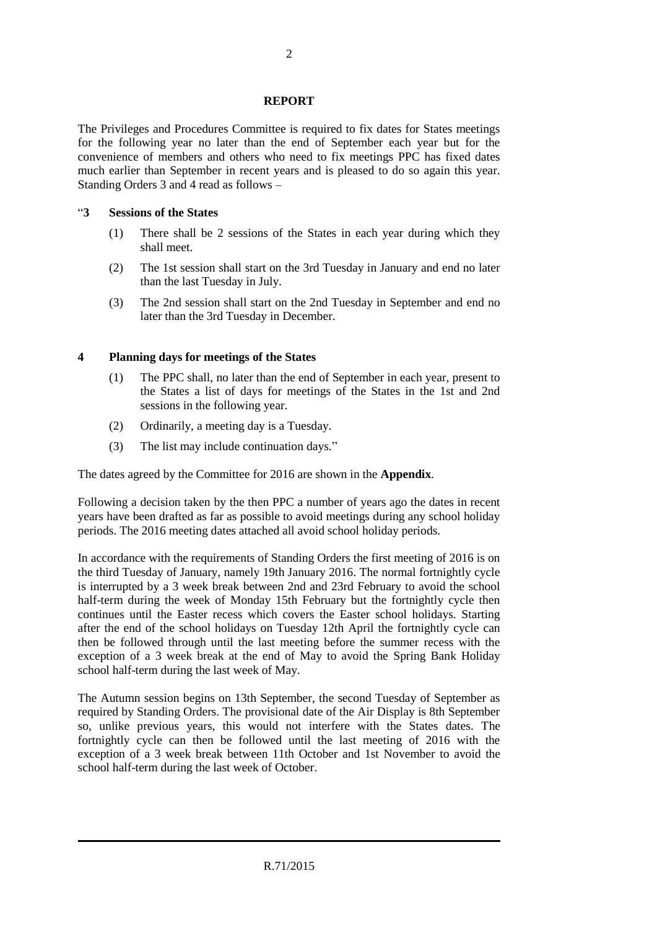#### **REPORT**

The Privileges and Procedures Committee is required to fix dates for States meetings for the following year no later than the end of September each year but for the convenience of members and others who need to fix meetings PPC has fixed dates much earlier than September in recent years and is pleased to do so again this year. Standing Orders 3 and 4 read as follows –

#### "**3 Sessions of the States**

- (1) There shall be 2 sessions of the States in each year during which they shall meet.
- (2) The 1st session shall start on the 3rd Tuesday in January and end no later than the last Tuesday in July.
- (3) The 2nd session shall start on the 2nd Tuesday in September and end no later than the 3rd Tuesday in December.

#### **4 Planning days for meetings of the States**

- (1) The PPC shall, no later than the end of September in each year, present to the States a list of days for meetings of the States in the 1st and 2nd sessions in the following year.
- (2) Ordinarily, a meeting day is a Tuesday.
- (3) The list may include continuation days."

The dates agreed by the Committee for 2016 are shown in the **Appendix**.

Following a decision taken by the then PPC a number of years ago the dates in recent years have been drafted as far as possible to avoid meetings during any school holiday periods. The 2016 meeting dates attached all avoid school holiday periods.

In accordance with the requirements of Standing Orders the first meeting of 2016 is on the third Tuesday of January, namely 19th January 2016. The normal fortnightly cycle is interrupted by a 3 week break between 2nd and 23rd February to avoid the school half-term during the week of Monday 15th February but the fortnightly cycle then continues until the Easter recess which covers the Easter school holidays. Starting after the end of the school holidays on Tuesday 12th April the fortnightly cycle can then be followed through until the last meeting before the summer recess with the exception of a 3 week break at the end of May to avoid the Spring Bank Holiday school half-term during the last week of May.

The Autumn session begins on 13th September, the second Tuesday of September as required by Standing Orders. The provisional date of the Air Display is 8th September so, unlike previous years, this would not interfere with the States dates. The fortnightly cycle can then be followed until the last meeting of 2016 with the exception of a 3 week break between 11th October and 1st November to avoid the school half-term during the last week of October.